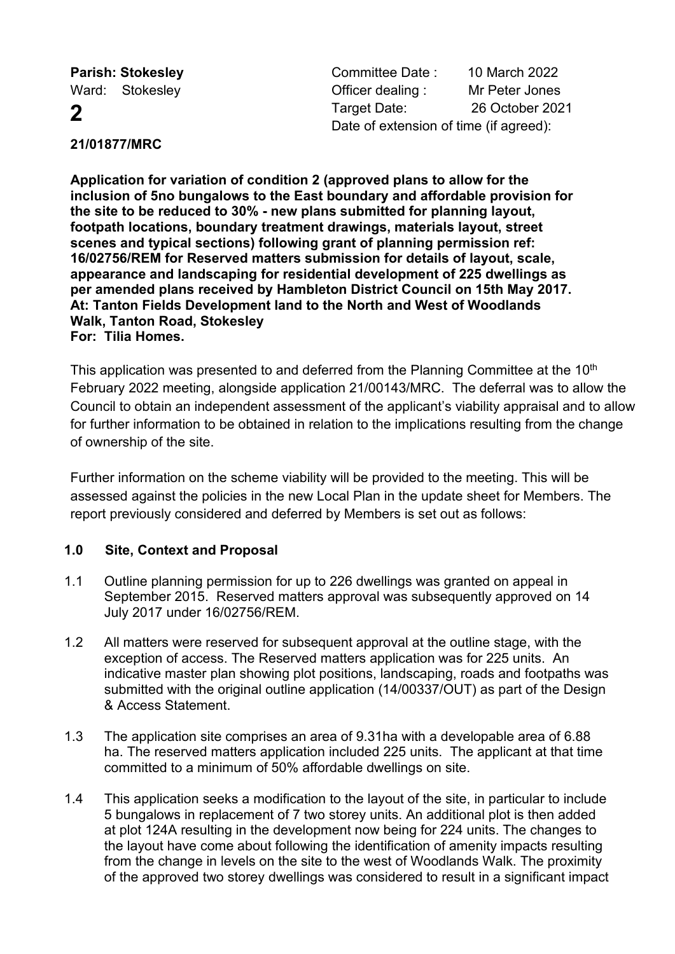**Parish: Stokesley Committee Date : 10 March 2022** Ward: Stokesley **Container Containers** Officer dealing : Mr Peter Jones **2** Target Date: 26 October 2021 Date of extension of time (if agreed):

# **21/01877/MRC**

**Application for variation of condition 2 (approved plans to allow for the inclusion of 5no bungalows to the East boundary and affordable provision for the site to be reduced to 30% - new plans submitted for planning layout, footpath locations, boundary treatment drawings, materials layout, street scenes and typical sections) following grant of planning permission ref: 16/02756/REM for Reserved matters submission for details of layout, scale, appearance and landscaping for residential development of 225 dwellings as per amended plans received by Hambleton District Council on 15th May 2017. At: Tanton Fields Development land to the North and West of Woodlands Walk, Tanton Road, Stokesley For: Tilia Homes.**

This application was presented to and deferred from the Planning Committee at the 10<sup>th</sup> February 2022 meeting, alongside application 21/00143/MRC. The deferral was to allow the Council to obtain an independent assessment of the applicant's viability appraisal and to allow for further information to be obtained in relation to the implications resulting from the change of ownership of the site.

Further information on the scheme viability will be provided to the meeting. This will be assessed against the policies in the new Local Plan in the update sheet for Members. The report previously considered and deferred by Members is set out as follows:

# **1.0 Site, Context and Proposal**

- 1.1 Outline planning permission for up to 226 dwellings was granted on appeal in September 2015. Reserved matters approval was subsequently approved on 14 July 2017 under 16/02756/REM.
- 1.2 All matters were reserved for subsequent approval at the outline stage, with the exception of access. The Reserved matters application was for 225 units. An indicative master plan showing plot positions, landscaping, roads and footpaths was submitted with the original outline application (14/00337/OUT) as part of the Design & Access Statement.
- 1.3 The application site comprises an area of 9.31ha with a developable area of 6.88 ha. The reserved matters application included 225 units. The applicant at that time committed to a minimum of 50% affordable dwellings on site.
- 1.4 This application seeks a modification to the layout of the site, in particular to include 5 bungalows in replacement of 7 two storey units. An additional plot is then added at plot 124A resulting in the development now being for 224 units. The changes to the layout have come about following the identification of amenity impacts resulting from the change in levels on the site to the west of Woodlands Walk. The proximity of the approved two storey dwellings was considered to result in a significant impact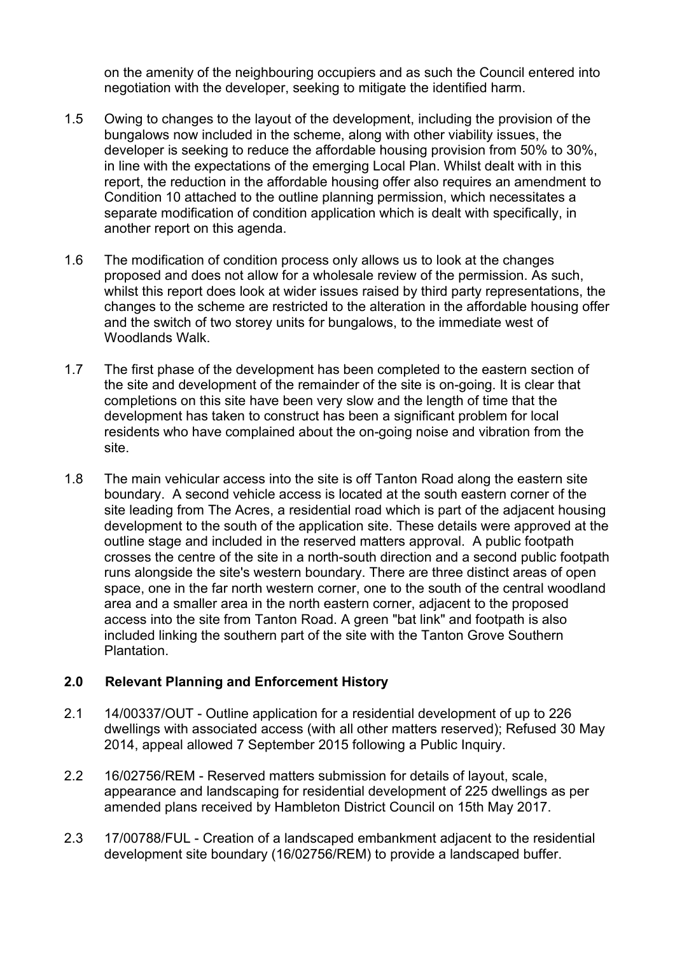on the amenity of the neighbouring occupiers and as such the Council entered into negotiation with the developer, seeking to mitigate the identified harm.

- 1.5 Owing to changes to the layout of the development, including the provision of the bungalows now included in the scheme, along with other viability issues, the developer is seeking to reduce the affordable housing provision from 50% to 30%, in line with the expectations of the emerging Local Plan. Whilst dealt with in this report, the reduction in the affordable housing offer also requires an amendment to Condition 10 attached to the outline planning permission, which necessitates a separate modification of condition application which is dealt with specifically, in another report on this agenda.
- 1.6 The modification of condition process only allows us to look at the changes proposed and does not allow for a wholesale review of the permission. As such, whilst this report does look at wider issues raised by third party representations, the changes to the scheme are restricted to the alteration in the affordable housing offer and the switch of two storey units for bungalows, to the immediate west of Woodlands Walk.
- 1.7 The first phase of the development has been completed to the eastern section of the site and development of the remainder of the site is on-going. It is clear that completions on this site have been very slow and the length of time that the development has taken to construct has been a significant problem for local residents who have complained about the on-going noise and vibration from the site.
- 1.8 The main vehicular access into the site is off Tanton Road along the eastern site boundary. A second vehicle access is located at the south eastern corner of the site leading from The Acres, a residential road which is part of the adjacent housing development to the south of the application site. These details were approved at the outline stage and included in the reserved matters approval. A public footpath crosses the centre of the site in a north-south direction and a second public footpath runs alongside the site's western boundary. There are three distinct areas of open space, one in the far north western corner, one to the south of the central woodland area and a smaller area in the north eastern corner, adjacent to the proposed access into the site from Tanton Road. A green "bat link" and footpath is also included linking the southern part of the site with the Tanton Grove Southern Plantation.

## **2.0 Relevant Planning and Enforcement History**

- 2.1 14/00337/OUT Outline application for a residential development of up to 226 dwellings with associated access (with all other matters reserved); Refused 30 May 2014, appeal allowed 7 September 2015 following a Public Inquiry.
- 2.2 16/02756/REM Reserved matters submission for details of layout, scale, appearance and landscaping for residential development of 225 dwellings as per amended plans received by Hambleton District Council on 15th May 2017.
- 2.3 17/00788/FUL Creation of a landscaped embankment adjacent to the residential development site boundary (16/02756/REM) to provide a landscaped buffer.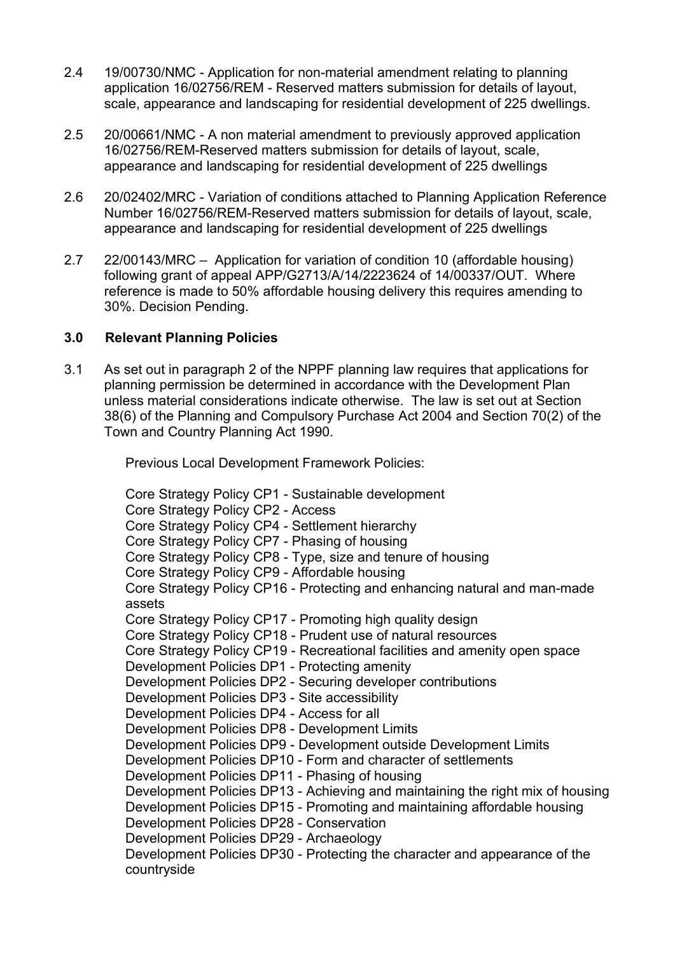- 2.4 19/00730/NMC Application for non-material amendment relating to planning application 16/02756/REM - Reserved matters submission for details of layout, scale, appearance and landscaping for residential development of 225 dwellings.
- 2.5 20/00661/NMC A non material amendment to previously approved application 16/02756/REM-Reserved matters submission for details of layout, scale, appearance and landscaping for residential development of 225 dwellings
- 2.6 20/02402/MRC Variation of conditions attached to Planning Application Reference Number 16/02756/REM-Reserved matters submission for details of layout, scale, appearance and landscaping for residential development of 225 dwellings
- 2.7 22/00143/MRC Application for variation of condition 10 (affordable housing) following grant of appeal APP/G2713/A/14/2223624 of 14/00337/OUT. Where reference is made to 50% affordable housing delivery this requires amending to 30%. Decision Pending.

### **3.0 Relevant Planning Policies**

3.1 As set out in paragraph 2 of the NPPF planning law requires that applications for planning permission be determined in accordance with the Development Plan unless material considerations indicate otherwise. The law is set out at Section 38(6) of the Planning and Compulsory Purchase Act 2004 and Section 70(2) of the Town and Country Planning Act 1990.

Previous Local Development Framework Policies:

Core Strategy Policy CP1 - Sustainable development Core Strategy Policy CP2 - Access Core Strategy Policy CP4 - Settlement hierarchy Core Strategy Policy CP7 - Phasing of housing Core Strategy Policy CP8 - Type, size and tenure of housing Core Strategy Policy CP9 - Affordable housing Core Strategy Policy CP16 - Protecting and enhancing natural and man-made assets Core Strategy Policy CP17 - Promoting high quality design Core Strategy Policy CP18 - Prudent use of natural resources Core Strategy Policy CP19 - Recreational facilities and amenity open space Development Policies DP1 - Protecting amenity Development Policies DP2 - Securing developer contributions Development Policies DP3 - Site accessibility Development Policies DP4 - Access for all Development Policies DP8 - Development Limits Development Policies DP9 - Development outside Development Limits Development Policies DP10 - Form and character of settlements Development Policies DP11 - Phasing of housing Development Policies DP13 - Achieving and maintaining the right mix of housing Development Policies DP15 - Promoting and maintaining affordable housing Development Policies DP28 - Conservation Development Policies DP29 - Archaeology Development Policies DP30 - Protecting the character and appearance of the countryside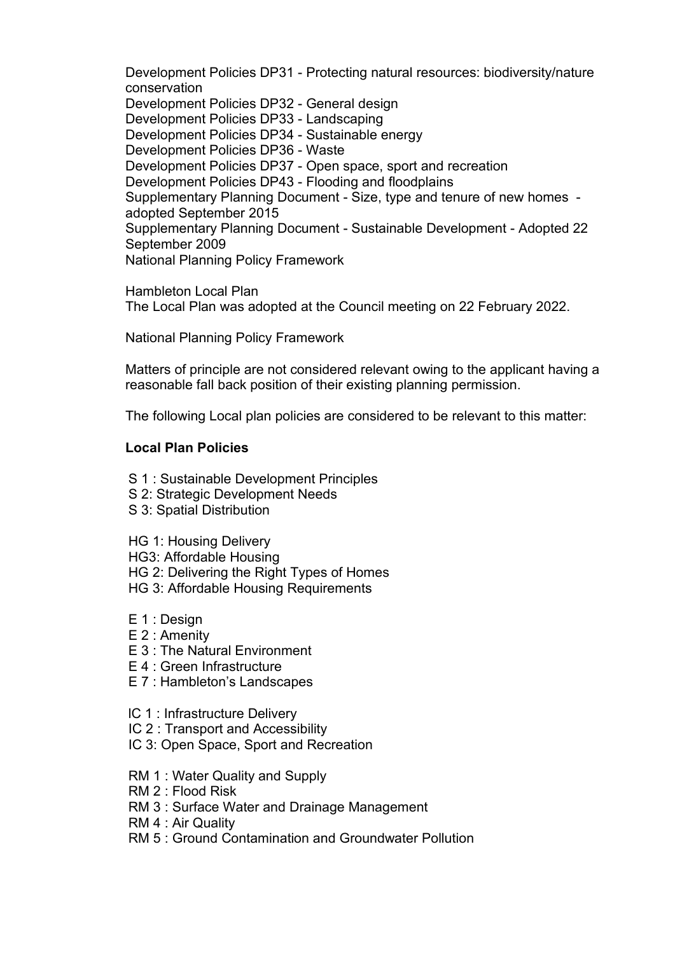Development Policies DP31 - Protecting natural resources: biodiversity/nature conservation Development Policies DP32 - General design Development Policies DP33 - Landscaping Development Policies DP34 - Sustainable energy Development Policies DP36 - Waste Development Policies DP37 - Open space, sport and recreation Development Policies DP43 - Flooding and floodplains Supplementary Planning Document - Size, type and tenure of new homes adopted September 2015 Supplementary Planning Document - Sustainable Development - Adopted 22 September 2009 National Planning Policy Framework

Hambleton Local Plan The Local Plan was adopted at the Council meeting on 22 February 2022.

National Planning Policy Framework

Matters of principle are not considered relevant owing to the applicant having a reasonable fall back position of their existing planning permission.

The following Local plan policies are considered to be relevant to this matter:

#### **Local Plan Policies**

- S 1 : Sustainable Development Principles
- S 2: Strategic Development Needs
- S 3: Spatial Distribution

HG 1: Housing Delivery

HG3: Affordable Housing

HG 2: Delivering the Right Types of Homes

- HG 3: Affordable Housing Requirements
- E 1 : Design
- E 2 : Amenity
- E 3 : The Natural Environment
- E 4 : Green Infrastructure
- E 7 : Hambleton's Landscapes
- lC 1 : Infrastructure Delivery
- IC 2 : Transport and Accessibility
- IC 3: Open Space, Sport and Recreation
- RM 1 : Water Quality and Supply
- RM 2 : Flood Risk
- RM 3 : Surface Water and Drainage Management
- RM 4 : Air Quality
- RM 5 : Ground Contamination and Groundwater Pollution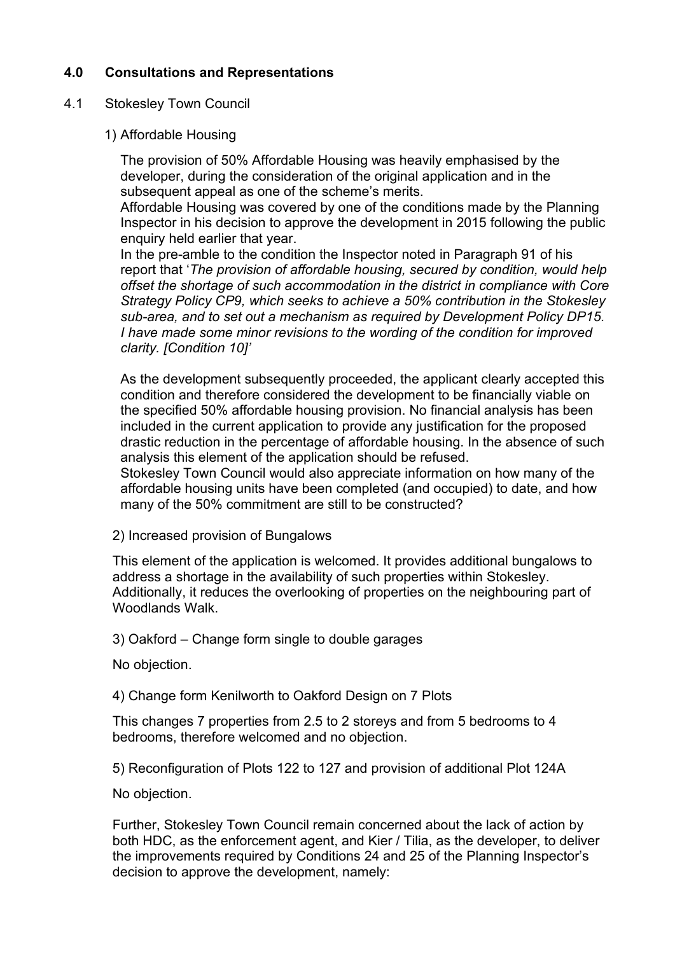## **4.0 Consultations and Representations**

#### 4.1 Stokesley Town Council

1) Affordable Housing

The provision of 50% Affordable Housing was heavily emphasised by the developer, during the consideration of the original application and in the subsequent appeal as one of the scheme's merits.

Affordable Housing was covered by one of the conditions made by the Planning Inspector in his decision to approve the development in 2015 following the public enquiry held earlier that year.

In the pre-amble to the condition the Inspector noted in Paragraph 91 of his report that '*The provision of affordable housing, secured by condition, would help offset the shortage of such accommodation in the district in compliance with Core Strategy Policy CP9, which seeks to achieve a 50% contribution in the Stokesley sub-area, and to set out a mechanism as required by Development Policy DP15. I have made some minor revisions to the wording of the condition for improved clarity. [Condition 10]'*

As the development subsequently proceeded, the applicant clearly accepted this condition and therefore considered the development to be financially viable on the specified 50% affordable housing provision. No financial analysis has been included in the current application to provide any justification for the proposed drastic reduction in the percentage of affordable housing. In the absence of such analysis this element of the application should be refused.

Stokesley Town Council would also appreciate information on how many of the affordable housing units have been completed (and occupied) to date, and how many of the 50% commitment are still to be constructed?

2) Increased provision of Bungalows

This element of the application is welcomed. It provides additional bungalows to address a shortage in the availability of such properties within Stokesley. Additionally, it reduces the overlooking of properties on the neighbouring part of Woodlands Walk.

3) Oakford – Change form single to double garages

No objection.

4) Change form Kenilworth to Oakford Design on 7 Plots

This changes 7 properties from 2.5 to 2 storeys and from 5 bedrooms to 4 bedrooms, therefore welcomed and no objection.

5) Reconfiguration of Plots 122 to 127 and provision of additional Plot 124A

No objection.

Further, Stokesley Town Council remain concerned about the lack of action by both HDC, as the enforcement agent, and Kier / Tilia, as the developer, to deliver the improvements required by Conditions 24 and 25 of the Planning Inspector's decision to approve the development, namely: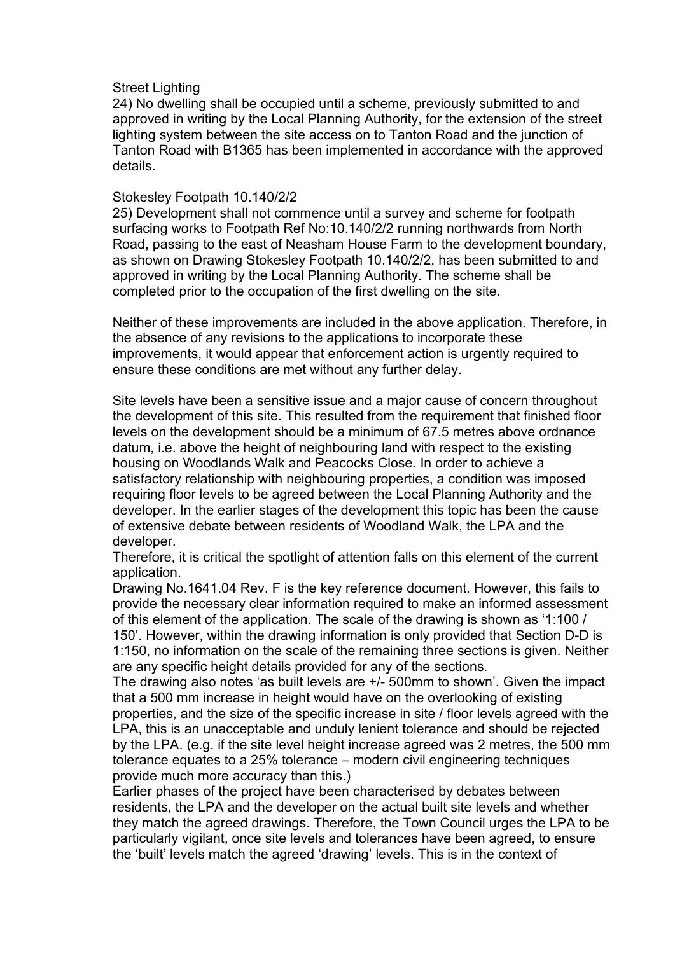#### Street Lighting

24) No dwelling shall be occupied until a scheme, previously submitted to and approved in writing by the Local Planning Authority, for the extension of the street lighting system between the site access on to Tanton Road and the junction of Tanton Road with B1365 has been implemented in accordance with the approved details.

#### Stokesley Footpath 10.140/2/2

25) Development shall not commence until a survey and scheme for footpath surfacing works to Footpath Ref No:10.140/2/2 running northwards from North Road, passing to the east of Neasham House Farm to the development boundary, as shown on Drawing Stokesley Footpath 10.140/2/2, has been submitted to and approved in writing by the Local Planning Authority. The scheme shall be completed prior to the occupation of the first dwelling on the site.

Neither of these improvements are included in the above application. Therefore, in the absence of any revisions to the applications to incorporate these improvements, it would appear that enforcement action is urgently required to ensure these conditions are met without any further delay.

Site levels have been a sensitive issue and a major cause of concern throughout the development of this site. This resulted from the requirement that finished floor levels on the development should be a minimum of 67.5 metres above ordnance datum, i.e. above the height of neighbouring land with respect to the existing housing on Woodlands Walk and Peacocks Close. In order to achieve a satisfactory relationship with neighbouring properties, a condition was imposed requiring floor levels to be agreed between the Local Planning Authority and the developer. In the earlier stages of the development this topic has been the cause of extensive debate between residents of Woodland Walk, the LPA and the developer.

Therefore, it is critical the spotlight of attention falls on this element of the current application.

Drawing No.1641.04 Rev. F is the key reference document. However, this fails to provide the necessary clear information required to make an informed assessment of this element of the application. The scale of the drawing is shown as '1:100 / 150'. However, within the drawing information is only provided that Section D-D is 1:150, no information on the scale of the remaining three sections is given. Neither are any specific height details provided for any of the sections.

The drawing also notes 'as built levels are +/- 500mm to shown'. Given the impact that a 500 mm increase in height would have on the overlooking of existing properties, and the size of the specific increase in site / floor levels agreed with the LPA, this is an unacceptable and unduly lenient tolerance and should be rejected by the LPA. (e.g. if the site level height increase agreed was 2 metres, the 500 mm tolerance equates to a 25% tolerance – modern civil engineering techniques provide much more accuracy than this.)

Earlier phases of the project have been characterised by debates between residents, the LPA and the developer on the actual built site levels and whether they match the agreed drawings. Therefore, the Town Council urges the LPA to be particularly vigilant, once site levels and tolerances have been agreed, to ensure the 'built' levels match the agreed 'drawing' levels. This is in the context of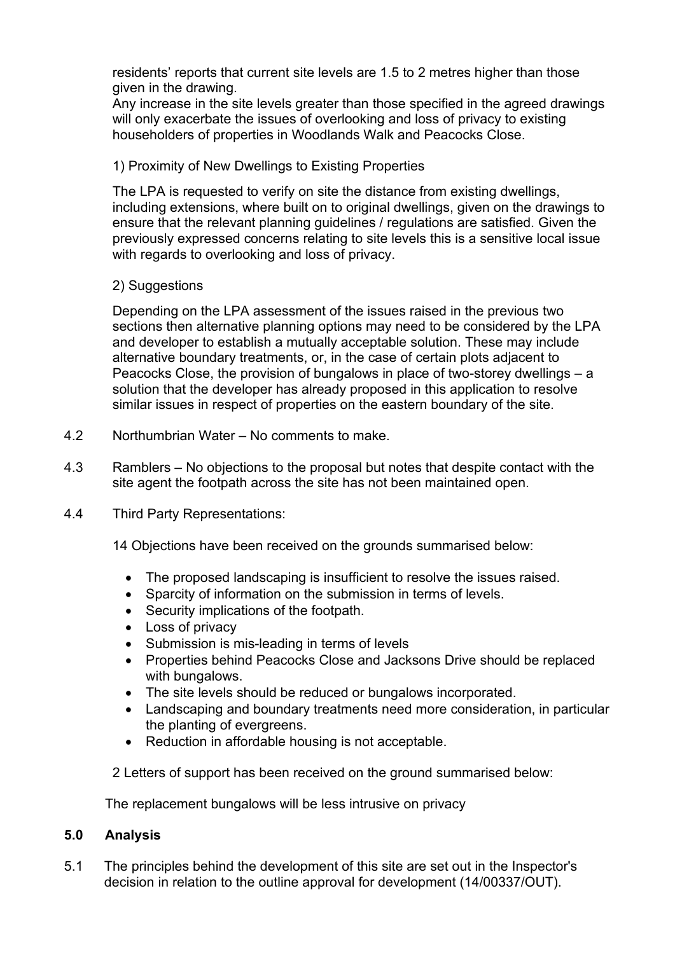residents' reports that current site levels are 1.5 to 2 metres higher than those given in the drawing.

Any increase in the site levels greater than those specified in the agreed drawings will only exacerbate the issues of overlooking and loss of privacy to existing householders of properties in Woodlands Walk and Peacocks Close.

1) Proximity of New Dwellings to Existing Properties

The LPA is requested to verify on site the distance from existing dwellings, including extensions, where built on to original dwellings, given on the drawings to ensure that the relevant planning guidelines / regulations are satisfied. Given the previously expressed concerns relating to site levels this is a sensitive local issue with regards to overlooking and loss of privacy.

2) Suggestions

Depending on the LPA assessment of the issues raised in the previous two sections then alternative planning options may need to be considered by the LPA and developer to establish a mutually acceptable solution. These may include alternative boundary treatments, or, in the case of certain plots adjacent to Peacocks Close, the provision of bungalows in place of two-storey dwellings – a solution that the developer has already proposed in this application to resolve similar issues in respect of properties on the eastern boundary of the site.

- 4.2 Northumbrian Water No comments to make.
- 4.3 Ramblers No objections to the proposal but notes that despite contact with the site agent the footpath across the site has not been maintained open.
- 4.4 Third Party Representations:

14 Objections have been received on the grounds summarised below:

- The proposed landscaping is insufficient to resolve the issues raised.
- Sparcity of information on the submission in terms of levels.
- Security implications of the footpath.
- Loss of privacy
- Submission is mis-leading in terms of levels
- Properties behind Peacocks Close and Jacksons Drive should be replaced with bungalows.
- The site levels should be reduced or bungalows incorporated.
- Landscaping and boundary treatments need more consideration, in particular the planting of evergreens.
- Reduction in affordable housing is not acceptable.

2 Letters of support has been received on the ground summarised below:

The replacement bungalows will be less intrusive on privacy

### **5.0 Analysis**

5.1 The principles behind the development of this site are set out in the Inspector's decision in relation to the outline approval for development (14/00337/OUT).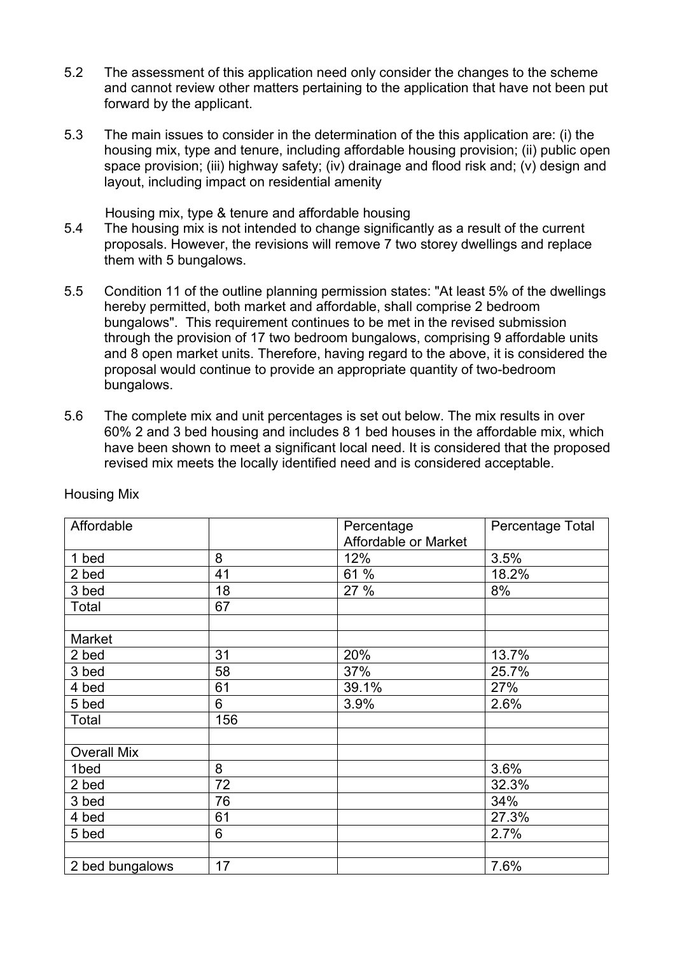- 5.2 The assessment of this application need only consider the changes to the scheme and cannot review other matters pertaining to the application that have not been put forward by the applicant.
- 5.3 The main issues to consider in the determination of the this application are: (i) the housing mix, type and tenure, including affordable housing provision; (ii) public open space provision; (iii) highway safety; (iv) drainage and flood risk and; (v) design and layout, including impact on residential amenity

Housing mix, type & tenure and affordable housing

- 5.4 The housing mix is not intended to change significantly as a result of the current proposals. However, the revisions will remove 7 two storey dwellings and replace them with 5 bungalows.
- 5.5 Condition 11 of the outline planning permission states: "At least 5% of the dwellings hereby permitted, both market and affordable, shall comprise 2 bedroom bungalows". This requirement continues to be met in the revised submission through the provision of 17 two bedroom bungalows, comprising 9 affordable units and 8 open market units. Therefore, having regard to the above, it is considered the proposal would continue to provide an appropriate quantity of two-bedroom bungalows.
- 5.6 The complete mix and unit percentages is set out below. The mix results in over 60% 2 and 3 bed housing and includes 8 1 bed houses in the affordable mix, which have been shown to meet a significant local need. It is considered that the proposed revised mix meets the locally identified need and is considered acceptable.

| Affordable         |     | Percentage           | Percentage Total |
|--------------------|-----|----------------------|------------------|
|                    |     | Affordable or Market |                  |
| 1 bed              | 8   | 12%                  | 3.5%             |
| 2 bed              | 41  | 61 %                 | 18.2%            |
| 3 bed              | 18  | 27 %                 | 8%               |
| Total              | 67  |                      |                  |
|                    |     |                      |                  |
| Market             |     |                      |                  |
| 2 bed              | 31  | 20%                  | 13.7%            |
| 3 bed              | 58  | 37%                  | 25.7%            |
| 4 bed              | 61  | 39.1%                | 27%              |
| 5 bed              | 6   | 3.9%                 | 2.6%             |
| Total              | 156 |                      |                  |
|                    |     |                      |                  |
| <b>Overall Mix</b> |     |                      |                  |
| 1bed               | 8   |                      | 3.6%             |
| 2 bed              | 72  |                      | 32.3%            |
| 3 bed              | 76  |                      | 34%              |
| 4 bed              | 61  |                      | 27.3%            |
| 5 bed              | 6   |                      | 2.7%             |
|                    |     |                      |                  |
| 2 bed bungalows    | 17  |                      | 7.6%             |

Housing Mix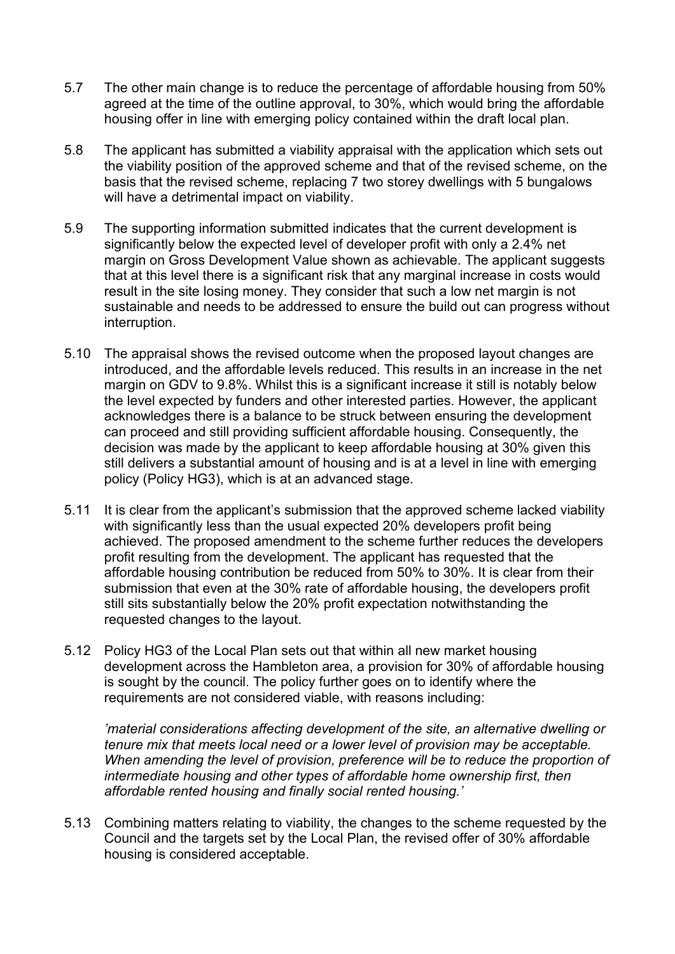- 5.7 The other main change is to reduce the percentage of affordable housing from 50% agreed at the time of the outline approval, to 30%, which would bring the affordable housing offer in line with emerging policy contained within the draft local plan.
- 5.8 The applicant has submitted a viability appraisal with the application which sets out the viability position of the approved scheme and that of the revised scheme, on the basis that the revised scheme, replacing 7 two storey dwellings with 5 bungalows will have a detrimental impact on viability.
- 5.9 The supporting information submitted indicates that the current development is significantly below the expected level of developer profit with only a 2.4% net margin on Gross Development Value shown as achievable. The applicant suggests that at this level there is a significant risk that any marginal increase in costs would result in the site losing money. They consider that such a low net margin is not sustainable and needs to be addressed to ensure the build out can progress without interruption.
- 5.10 The appraisal shows the revised outcome when the proposed layout changes are introduced, and the affordable levels reduced. This results in an increase in the net margin on GDV to 9.8%. Whilst this is a significant increase it still is notably below the level expected by funders and other interested parties. However, the applicant acknowledges there is a balance to be struck between ensuring the development can proceed and still providing sufficient affordable housing. Consequently, the decision was made by the applicant to keep affordable housing at 30% given this still delivers a substantial amount of housing and is at a level in line with emerging policy (Policy HG3), which is at an advanced stage.
- 5.11 It is clear from the applicant's submission that the approved scheme lacked viability with significantly less than the usual expected 20% developers profit being achieved. The proposed amendment to the scheme further reduces the developers profit resulting from the development. The applicant has requested that the affordable housing contribution be reduced from 50% to 30%. It is clear from their submission that even at the 30% rate of affordable housing, the developers profit still sits substantially below the 20% profit expectation notwithstanding the requested changes to the layout.
- 5.12 Policy HG3 of the Local Plan sets out that within all new market housing development across the Hambleton area, a provision for 30% of affordable housing is sought by the council. The policy further goes on to identify where the requirements are not considered viable, with reasons including:

*'material considerations affecting development of the site, an alternative dwelling or tenure mix that meets local need or a lower level of provision may be acceptable. When amending the level of provision, preference will be to reduce the proportion of intermediate housing and other types of affordable home ownership first, then affordable rented housing and finally social rented housing.'*

5.13 Combining matters relating to viability, the changes to the scheme requested by the Council and the targets set by the Local Plan, the revised offer of 30% affordable housing is considered acceptable.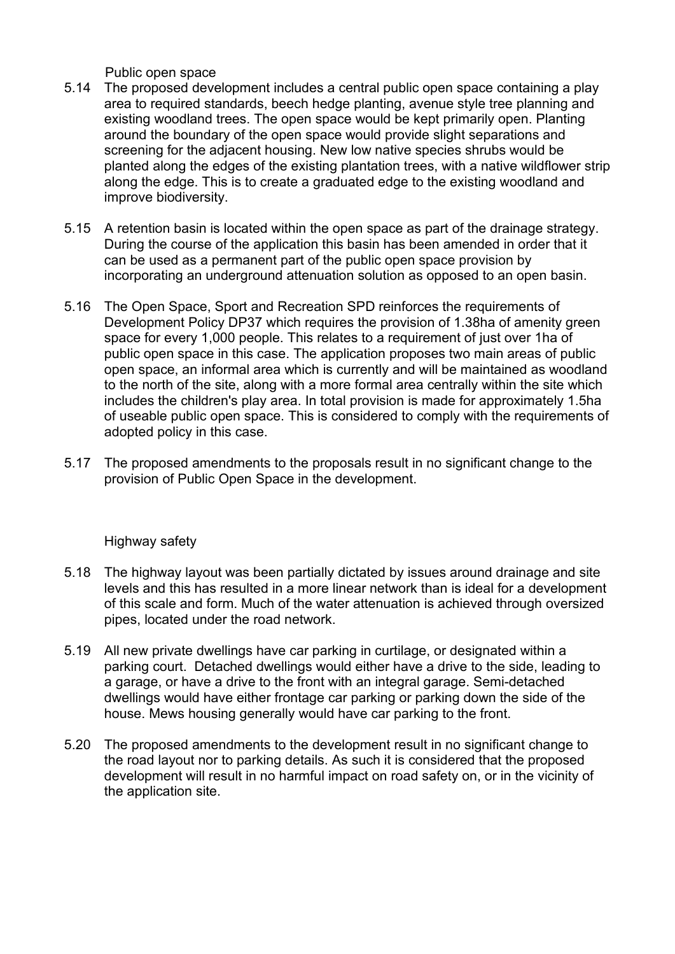Public open space

- 5.14 The proposed development includes a central public open space containing a play area to required standards, beech hedge planting, avenue style tree planning and existing woodland trees. The open space would be kept primarily open. Planting around the boundary of the open space would provide slight separations and screening for the adjacent housing. New low native species shrubs would be planted along the edges of the existing plantation trees, with a native wildflower strip along the edge. This is to create a graduated edge to the existing woodland and improve biodiversity.
- 5.15 A retention basin is located within the open space as part of the drainage strategy. During the course of the application this basin has been amended in order that it can be used as a permanent part of the public open space provision by incorporating an underground attenuation solution as opposed to an open basin.
- 5.16 The Open Space, Sport and Recreation SPD reinforces the requirements of Development Policy DP37 which requires the provision of 1.38ha of amenity green space for every 1,000 people. This relates to a requirement of just over 1ha of public open space in this case. The application proposes two main areas of public open space, an informal area which is currently and will be maintained as woodland to the north of the site, along with a more formal area centrally within the site which includes the children's play area. In total provision is made for approximately 1.5ha of useable public open space. This is considered to comply with the requirements of adopted policy in this case.
- 5.17 The proposed amendments to the proposals result in no significant change to the provision of Public Open Space in the development.

## Highway safety

- 5.18 The highway layout was been partially dictated by issues around drainage and site levels and this has resulted in a more linear network than is ideal for a development of this scale and form. Much of the water attenuation is achieved through oversized pipes, located under the road network.
- 5.19 All new private dwellings have car parking in curtilage, or designated within a parking court. Detached dwellings would either have a drive to the side, leading to a garage, or have a drive to the front with an integral garage. Semi-detached dwellings would have either frontage car parking or parking down the side of the house. Mews housing generally would have car parking to the front.
- 5.20 The proposed amendments to the development result in no significant change to the road layout nor to parking details. As such it is considered that the proposed development will result in no harmful impact on road safety on, or in the vicinity of the application site.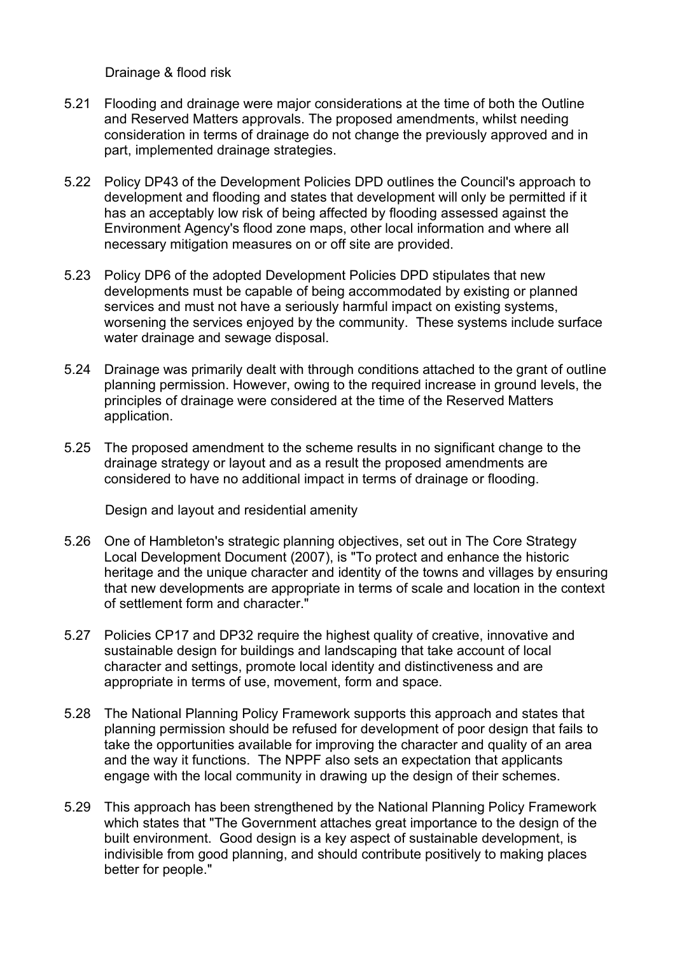Drainage & flood risk

- 5.21 Flooding and drainage were major considerations at the time of both the Outline and Reserved Matters approvals. The proposed amendments, whilst needing consideration in terms of drainage do not change the previously approved and in part, implemented drainage strategies.
- 5.22 Policy DP43 of the Development Policies DPD outlines the Council's approach to development and flooding and states that development will only be permitted if it has an acceptably low risk of being affected by flooding assessed against the Environment Agency's flood zone maps, other local information and where all necessary mitigation measures on or off site are provided.
- 5.23 Policy DP6 of the adopted Development Policies DPD stipulates that new developments must be capable of being accommodated by existing or planned services and must not have a seriously harmful impact on existing systems, worsening the services enjoyed by the community. These systems include surface water drainage and sewage disposal.
- 5.24 Drainage was primarily dealt with through conditions attached to the grant of outline planning permission. However, owing to the required increase in ground levels, the principles of drainage were considered at the time of the Reserved Matters application.
- 5.25 The proposed amendment to the scheme results in no significant change to the drainage strategy or layout and as a result the proposed amendments are considered to have no additional impact in terms of drainage or flooding.

Design and layout and residential amenity

- 5.26 One of Hambleton's strategic planning objectives, set out in The Core Strategy Local Development Document (2007), is "To protect and enhance the historic heritage and the unique character and identity of the towns and villages by ensuring that new developments are appropriate in terms of scale and location in the context of settlement form and character."
- 5.27 Policies CP17 and DP32 require the highest quality of creative, innovative and sustainable design for buildings and landscaping that take account of local character and settings, promote local identity and distinctiveness and are appropriate in terms of use, movement, form and space.
- 5.28 The National Planning Policy Framework supports this approach and states that planning permission should be refused for development of poor design that fails to take the opportunities available for improving the character and quality of an area and the way it functions. The NPPF also sets an expectation that applicants engage with the local community in drawing up the design of their schemes.
- 5.29 This approach has been strengthened by the National Planning Policy Framework which states that "The Government attaches great importance to the design of the built environment. Good design is a key aspect of sustainable development, is indivisible from good planning, and should contribute positively to making places better for people."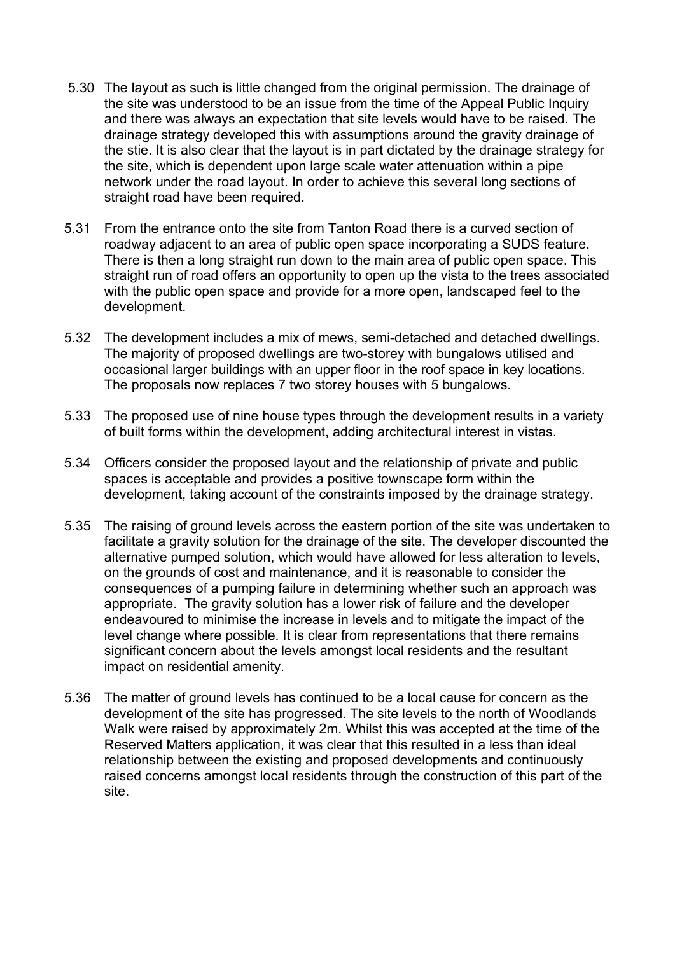- 5.30 The layout as such is little changed from the original permission. The drainage of the site was understood to be an issue from the time of the Appeal Public Inquiry and there was always an expectation that site levels would have to be raised. The drainage strategy developed this with assumptions around the gravity drainage of the stie. It is also clear that the layout is in part dictated by the drainage strategy for the site, which is dependent upon large scale water attenuation within a pipe network under the road layout. In order to achieve this several long sections of straight road have been required.
- 5.31 From the entrance onto the site from Tanton Road there is a curved section of roadway adjacent to an area of public open space incorporating a SUDS feature. There is then a long straight run down to the main area of public open space. This straight run of road offers an opportunity to open up the vista to the trees associated with the public open space and provide for a more open, landscaped feel to the development.
- 5.32 The development includes a mix of mews, semi-detached and detached dwellings. The majority of proposed dwellings are two-storey with bungalows utilised and occasional larger buildings with an upper floor in the roof space in key locations. The proposals now replaces 7 two storey houses with 5 bungalows.
- 5.33 The proposed use of nine house types through the development results in a variety of built forms within the development, adding architectural interest in vistas.
- 5.34 Officers consider the proposed layout and the relationship of private and public spaces is acceptable and provides a positive townscape form within the development, taking account of the constraints imposed by the drainage strategy.
- 5.35 The raising of ground levels across the eastern portion of the site was undertaken to facilitate a gravity solution for the drainage of the site. The developer discounted the alternative pumped solution, which would have allowed for less alteration to levels, on the grounds of cost and maintenance, and it is reasonable to consider the consequences of a pumping failure in determining whether such an approach was appropriate. The gravity solution has a lower risk of failure and the developer endeavoured to minimise the increase in levels and to mitigate the impact of the level change where possible. It is clear from representations that there remains significant concern about the levels amongst local residents and the resultant impact on residential amenity.
- 5.36 The matter of ground levels has continued to be a local cause for concern as the development of the site has progressed. The site levels to the north of Woodlands Walk were raised by approximately 2m. Whilst this was accepted at the time of the Reserved Matters application, it was clear that this resulted in a less than ideal relationship between the existing and proposed developments and continuously raised concerns amongst local residents through the construction of this part of the site.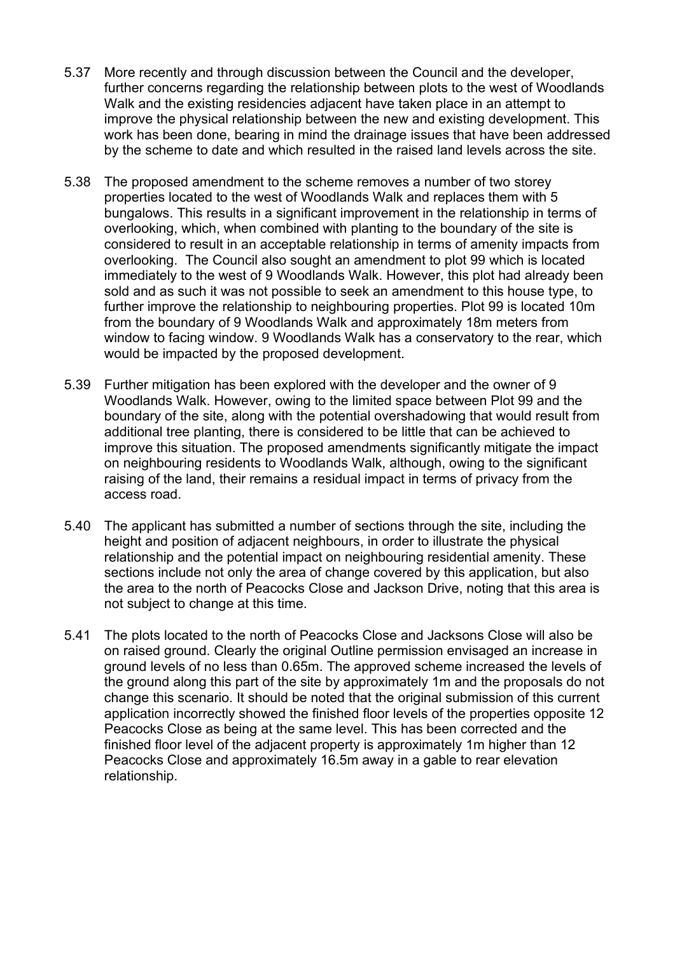- 5.37 More recently and through discussion between the Council and the developer, further concerns regarding the relationship between plots to the west of Woodlands Walk and the existing residencies adjacent have taken place in an attempt to improve the physical relationship between the new and existing development. This work has been done, bearing in mind the drainage issues that have been addressed by the scheme to date and which resulted in the raised land levels across the site.
- 5.38 The proposed amendment to the scheme removes a number of two storey properties located to the west of Woodlands Walk and replaces them with 5 bungalows. This results in a significant improvement in the relationship in terms of overlooking, which, when combined with planting to the boundary of the site is considered to result in an acceptable relationship in terms of amenity impacts from overlooking. The Council also sought an amendment to plot 99 which is located immediately to the west of 9 Woodlands Walk. However, this plot had already been sold and as such it was not possible to seek an amendment to this house type, to further improve the relationship to neighbouring properties. Plot 99 is located 10m from the boundary of 9 Woodlands Walk and approximately 18m meters from window to facing window. 9 Woodlands Walk has a conservatory to the rear, which would be impacted by the proposed development.
- 5.39 Further mitigation has been explored with the developer and the owner of 9 Woodlands Walk. However, owing to the limited space between Plot 99 and the boundary of the site, along with the potential overshadowing that would result from additional tree planting, there is considered to be little that can be achieved to improve this situation. The proposed amendments significantly mitigate the impact on neighbouring residents to Woodlands Walk, although, owing to the significant raising of the land, their remains a residual impact in terms of privacy from the access road.
- 5.40 The applicant has submitted a number of sections through the site, including the height and position of adjacent neighbours, in order to illustrate the physical relationship and the potential impact on neighbouring residential amenity. These sections include not only the area of change covered by this application, but also the area to the north of Peacocks Close and Jackson Drive, noting that this area is not subject to change at this time.
- 5.41 The plots located to the north of Peacocks Close and Jacksons Close will also be on raised ground. Clearly the original Outline permission envisaged an increase in ground levels of no less than 0.65m. The approved scheme increased the levels of the ground along this part of the site by approximately 1m and the proposals do not change this scenario. It should be noted that the original submission of this current application incorrectly showed the finished floor levels of the properties opposite 12 Peacocks Close as being at the same level. This has been corrected and the finished floor level of the adjacent property is approximately 1m higher than 12 Peacocks Close and approximately 16.5m away in a gable to rear elevation relationship.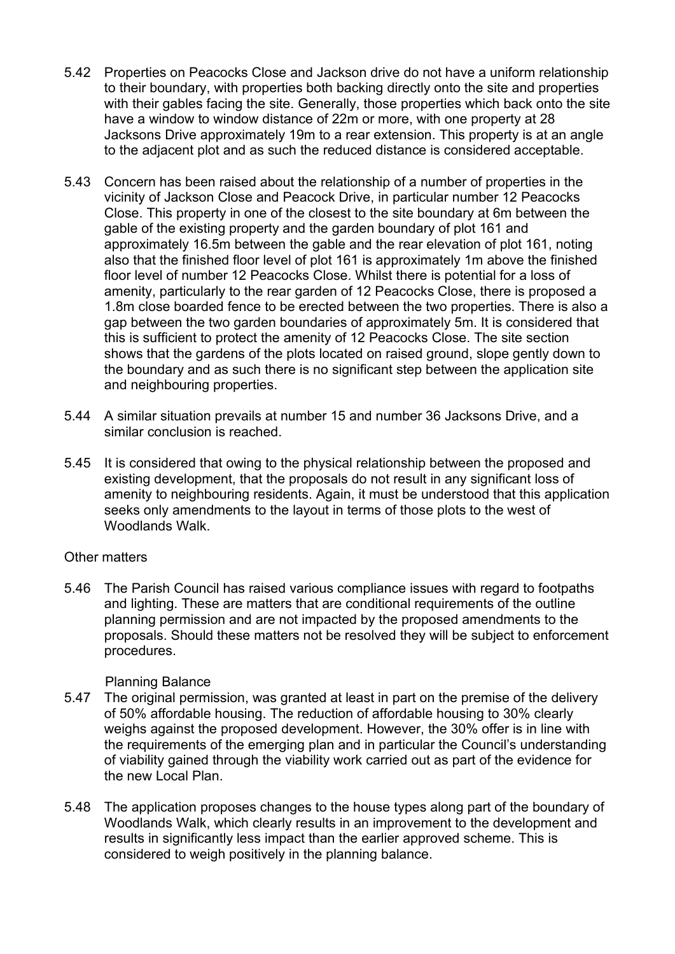- 5.42 Properties on Peacocks Close and Jackson drive do not have a uniform relationship to their boundary, with properties both backing directly onto the site and properties with their gables facing the site. Generally, those properties which back onto the site have a window to window distance of 22m or more, with one property at 28 Jacksons Drive approximately 19m to a rear extension. This property is at an angle to the adjacent plot and as such the reduced distance is considered acceptable.
- 5.43 Concern has been raised about the relationship of a number of properties in the vicinity of Jackson Close and Peacock Drive, in particular number 12 Peacocks Close. This property in one of the closest to the site boundary at 6m between the gable of the existing property and the garden boundary of plot 161 and approximately 16.5m between the gable and the rear elevation of plot 161, noting also that the finished floor level of plot 161 is approximately 1m above the finished floor level of number 12 Peacocks Close. Whilst there is potential for a loss of amenity, particularly to the rear garden of 12 Peacocks Close, there is proposed a 1.8m close boarded fence to be erected between the two properties. There is also a gap between the two garden boundaries of approximately 5m. It is considered that this is sufficient to protect the amenity of 12 Peacocks Close. The site section shows that the gardens of the plots located on raised ground, slope gently down to the boundary and as such there is no significant step between the application site and neighbouring properties.
- 5.44 A similar situation prevails at number 15 and number 36 Jacksons Drive, and a similar conclusion is reached.
- 5.45 It is considered that owing to the physical relationship between the proposed and existing development, that the proposals do not result in any significant loss of amenity to neighbouring residents. Again, it must be understood that this application seeks only amendments to the layout in terms of those plots to the west of Woodlands Walk.

#### Other matters

5.46 The Parish Council has raised various compliance issues with regard to footpaths and lighting. These are matters that are conditional requirements of the outline planning permission and are not impacted by the proposed amendments to the proposals. Should these matters not be resolved they will be subject to enforcement procedures.

### Planning Balance

- 5.47 The original permission, was granted at least in part on the premise of the delivery of 50% affordable housing. The reduction of affordable housing to 30% clearly weighs against the proposed development. However, the 30% offer is in line with the requirements of the emerging plan and in particular the Council's understanding of viability gained through the viability work carried out as part of the evidence for the new Local Plan.
- 5.48 The application proposes changes to the house types along part of the boundary of Woodlands Walk, which clearly results in an improvement to the development and results in significantly less impact than the earlier approved scheme. This is considered to weigh positively in the planning balance.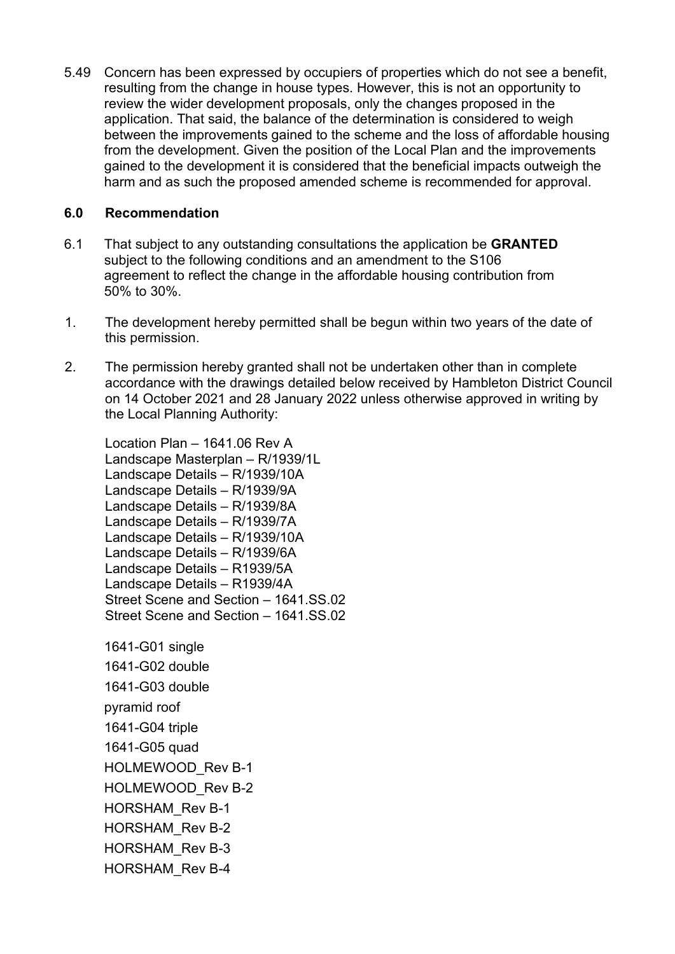5.49 Concern has been expressed by occupiers of properties which do not see a benefit, resulting from the change in house types. However, this is not an opportunity to review the wider development proposals, only the changes proposed in the application. That said, the balance of the determination is considered to weigh between the improvements gained to the scheme and the loss of affordable housing from the development. Given the position of the Local Plan and the improvements gained to the development it is considered that the beneficial impacts outweigh the harm and as such the proposed amended scheme is recommended for approval.

### **6.0 Recommendation**

- 6.1 That subject to any outstanding consultations the application be **GRANTED** subject to the following conditions and an amendment to the S106 agreement to reflect the change in the affordable housing contribution from 50% to 30%.
- 1. The development hereby permitted shall be begun within two years of the date of this permission.
- 2. The permission hereby granted shall not be undertaken other than in complete accordance with the drawings detailed below received by Hambleton District Council on 14 October 2021 and 28 January 2022 unless otherwise approved in writing by the Local Planning Authority:

Location Plan – 1641.06 Rev A Landscape Masterplan – R/1939/1L Landscape Details – R/1939/10A Landscape Details – R/1939/9A Landscape Details – R/1939/8A Landscape Details – R/1939/7A Landscape Details – R/1939/10A Landscape Details – R/1939/6A Landscape Details – R1939/5A Landscape Details – R1939/4A Street Scene and Section – 1641.SS.02 Street Scene and Section – 1641 SS 02

1641-G01 single 1641-G02 double 1641-G03 double pyramid roof 1641-G04 triple 1641-G05 quad HOLMEWOOD\_Rev B-1 HOLMEWOOD Rev B-2 HORSHAM\_Rev B-1 HORSHAM\_Rev B-2 HORSHAM\_Rev B-3 HORSHAM\_Rev B-4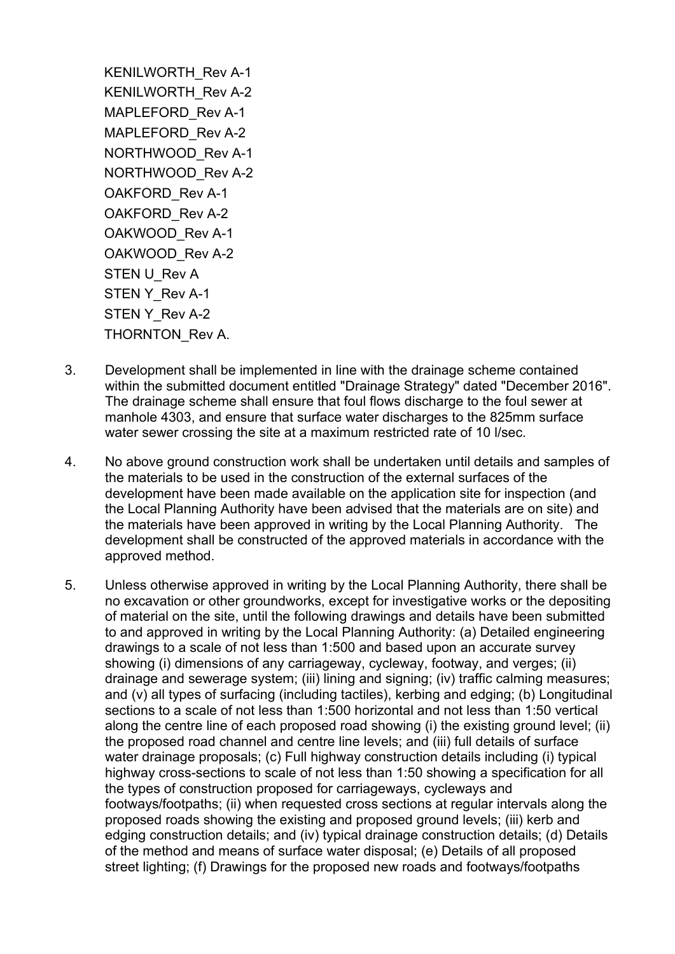KENILWORTH\_Rev A-1 KENILWORTH\_Rev A-2 MAPLEFORD Rev A-1 MAPLEFORD Rev A-2 NORTHWOOD\_Rev A-1 NORTHWOOD\_Rev A-2 OAKFORD\_Rev A-1 OAKFORD\_Rev A-2 OAKWOOD\_Rev A-1 OAKWOOD\_Rev A-2 STEN U\_Rev A STEN Y\_Rev A-1 STEN Y Rev A-2 THORNTON Rev A.

- 3. Development shall be implemented in line with the drainage scheme contained within the submitted document entitled "Drainage Strategy" dated "December 2016". The drainage scheme shall ensure that foul flows discharge to the foul sewer at manhole 4303, and ensure that surface water discharges to the 825mm surface water sewer crossing the site at a maximum restricted rate of 10 l/sec.
- 4. No above ground construction work shall be undertaken until details and samples of the materials to be used in the construction of the external surfaces of the development have been made available on the application site for inspection (and the Local Planning Authority have been advised that the materials are on site) and the materials have been approved in writing by the Local Planning Authority. The development shall be constructed of the approved materials in accordance with the approved method.
- 5. Unless otherwise approved in writing by the Local Planning Authority, there shall be no excavation or other groundworks, except for investigative works or the depositing of material on the site, until the following drawings and details have been submitted to and approved in writing by the Local Planning Authority: (a) Detailed engineering drawings to a scale of not less than 1:500 and based upon an accurate survey showing (i) dimensions of any carriageway, cycleway, footway, and verges; (ii) drainage and sewerage system; (iii) lining and signing; (iv) traffic calming measures; and (v) all types of surfacing (including tactiles), kerbing and edging; (b) Longitudinal sections to a scale of not less than 1:500 horizontal and not less than 1:50 vertical along the centre line of each proposed road showing (i) the existing ground level; (ii) the proposed road channel and centre line levels; and (iii) full details of surface water drainage proposals; (c) Full highway construction details including (i) typical highway cross-sections to scale of not less than 1:50 showing a specification for all the types of construction proposed for carriageways, cycleways and footways/footpaths; (ii) when requested cross sections at regular intervals along the proposed roads showing the existing and proposed ground levels; (iii) kerb and edging construction details; and (iv) typical drainage construction details; (d) Details of the method and means of surface water disposal; (e) Details of all proposed street lighting; (f) Drawings for the proposed new roads and footways/footpaths